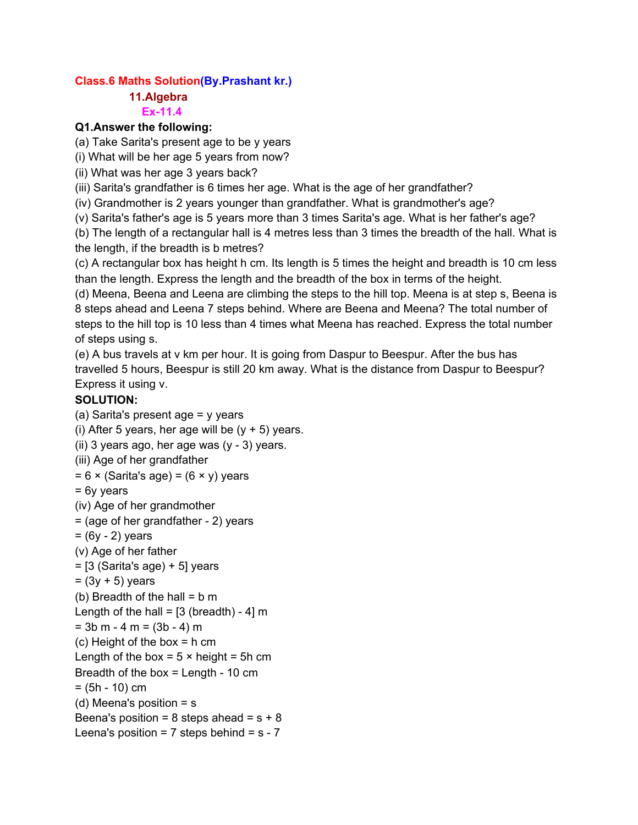### **Class.6 Maths Solution(By.Prashant kr.)**

#### **11.Algebra Ex-11.4**

### **Q1.Answer the following:**

(a) Take Sarita's present age to be y years

(i) What will be her age 5 years from now?

(ii) What was her age 3 years back?

(iii) Sarita's grandfather is 6 times her age. What is the age of her grandfather?

(iv) Grandmother is 2 years younger than grandfather. What is grandmother's age?

(v) Sarita's father's age is 5 years more than 3 times Sarita's age. What is her father's age?

(b) The length of a rectangular hall is 4 metres less than 3 times the breadth of the hall. What is the length, if the breadth is b metres?

(c) A rectangular box has height h cm. Its length is 5 times the height and breadth is 10 cm less than the length. Express the length and the breadth of the box in terms of the height.

(d) Meena, Beena and Leena are climbing the steps to the hill top. Meena is at step s, Beena is 8 steps ahead and Leena 7 steps behind. Where are Beena and Meena? The total number of steps to the hill top is 10 less than 4 times what Meena has reached. Express the total number of steps using s.

(e) A bus travels at v km per hour. It is going from Daspur to Beespur. After the bus has travelled 5 hours, Beespur is still 20 km away. What is the distance from Daspur to Beespur? Express it using v.

## **SOLUTION:**

(a) Sarita's present age  $=$  y years (i) After 5 years, her age will be  $(y + 5)$  years. (ii) 3 years ago, her age was  $(y - 3)$  years. (iii) Age of her grandfather  $= 6 \times$  (Sarita's age) =  $(6 \times y)$  years = 6y years (iv) Age of her grandmother = (age of her grandfather - 2) years  $=$  (6y - 2) years (v) Age of her father  $=$  [3 (Sarita's age) + 5] years  $= (3y + 5)$  years (b) Breadth of the hall  $= b$  m Length of the hall =  $[3$  (breadth) - 4] m  $= 3b$  m  $- 4$  m  $= (3b - 4)$  m (c) Height of the box = h cm Length of the box =  $5 \times$  height =  $5h$  cm Breadth of the box  $=$  Length - 10 cm  $=$  (5h - 10) cm (d) Meena's position  $=$  s Beena's position =  $8$  steps ahead =  $s + 8$ Leena's position =  $7$  steps behind =  $s - 7$